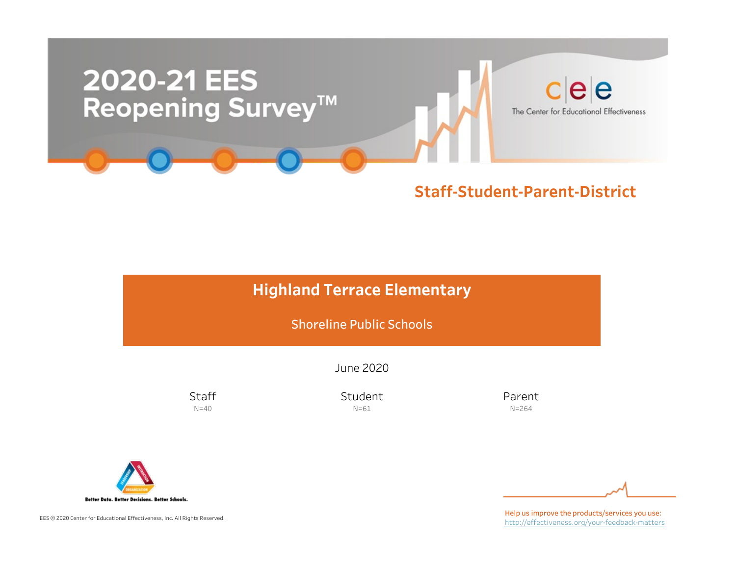

### **Highland Terrace Elementary**

Shoreline Public Schools

June2020

**Staff**  $N=40$ 

Student N=61

Parent N=264



EES © 2020 Center for Educational Effectiveness, Inc. All Rights Reserved.

Help us improve the products/services you use: http://effectiveness.org/your-feedback-matters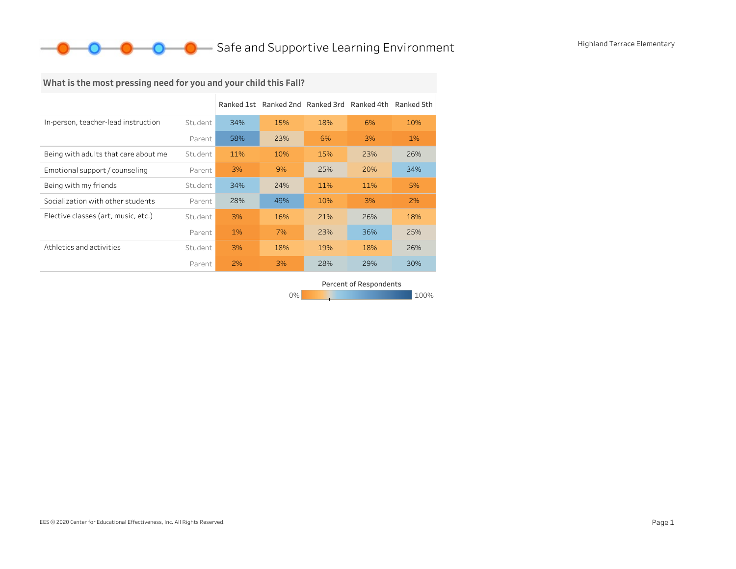### What is the most pressing need for you and your child this Fall?

|                                      |         |     | Ranked 1st Ranked 2nd Ranked 3rd Ranked 4th |     |     | Ranked 5th |
|--------------------------------------|---------|-----|---------------------------------------------|-----|-----|------------|
| In-person, teacher-lead instruction  | Student | 34% | 15%                                         | 18% | 6%  | 10%        |
|                                      | Parent  | 58% | 23%                                         | 6%  | 3%  | 1%         |
| Being with adults that care about me | Student | 11% | 10%                                         | 15% | 23% | 26%        |
| Emotional support / counseling       | Parent  | 3%  | 9%                                          | 25% | 20% | 34%        |
| Being with my friends                | Student | 34% | 24%                                         | 11% | 11% | 5%         |
| Socialization with other students    | Parent  | 28% | 49%                                         | 10% | 3%  | 2%         |
| Elective classes (art, music, etc.)  | Student | 3%  | 16%                                         | 21% | 26% | 18%        |
|                                      | Parent  | 1%  | 7%                                          | 23% | 36% | 25%        |
| Athletics and activities             | Student | 3%  | 18%                                         | 19% | 18% | 26%        |
|                                      | Parent  | 2%  | 3%                                          | 28% | 29% | 30%        |

0% 100% 100% 100% 100% Percent of Respondents

EES © 2020 Center for Educational Effectiveness, Inc. All Rights Reserved. Page 1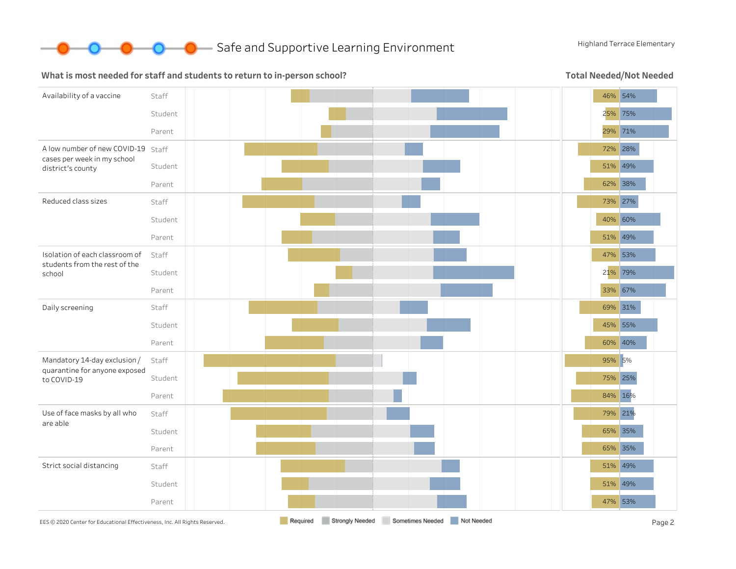

**O** Safe and Supportive Learning Environment Highland Terrace Elementary

#### What is most needed for staff and students to return to in-person school?

Total Needed/Not Needed

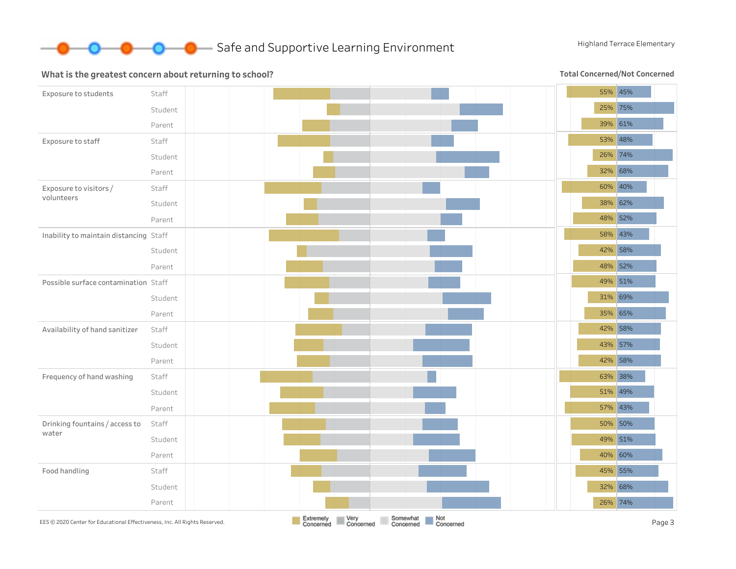

#### What is the greatest concern about returning to school?

Total Concerned/Not Concerned

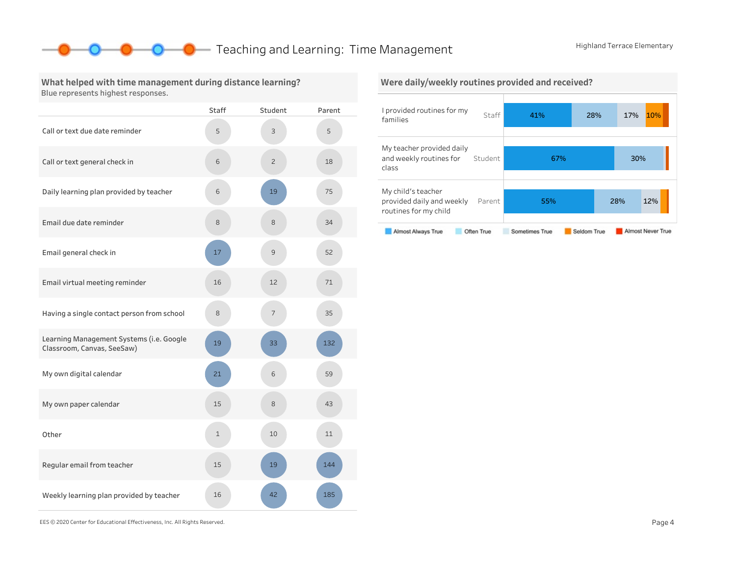### **O** Teaching and Learning: Time Management Highland Terrace Elementary

#### What helped with time management during distance learning? Blue represents highest responses.

|                                                                        | <b>Staff</b> | Student        | Parent |
|------------------------------------------------------------------------|--------------|----------------|--------|
| Call or text due date reminder                                         | 5            | 3              | 5      |
| Call or text general check in                                          | 6            | $\overline{c}$ | 18     |
| Daily learning plan provided by teacher                                | 6            | 19             | 75     |
| Email due date reminder                                                | 8            | 8              | 34     |
| Email general check in                                                 | 17           | 9              | 52     |
| Email virtual meeting reminder                                         | 16           | 12             | 71     |
| Having a single contact person from school                             | 8            | 7              | 35     |
| Learning Management Systems (i.e. Google<br>Classroom, Canvas, SeeSaw) | 19           | 33             | 132    |
| My own digital calendar                                                | 21           | 6              | 59     |
| My own paper calendar                                                  | 15           | 8              | 43     |
| Other                                                                  | 1            | 10             | 11     |
| Regular email from teacher                                             | 15           | 19             | 144    |
| Weekly learning plan provided by teacher                               | 16           | 42             | 185    |



EES©2020CenterforEducationalEffectiveness,Inc.AllRightsReserved. Page4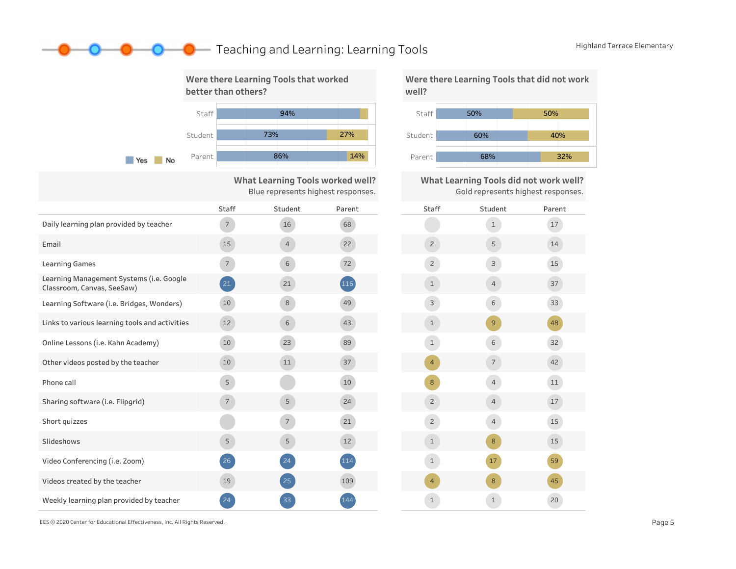### **O** Teaching and Learning: Learning Tools Highland Terrace Elementary



What Learning Tools worked well? Blue represents highest responses.

|                                                                        | <b>Staff</b>    | Student        | Parent |  |
|------------------------------------------------------------------------|-----------------|----------------|--------|--|
| Daily learning plan provided by teacher                                | $7^{\circ}$     | 16             | 68     |  |
| Email                                                                  | 15              | $\overline{4}$ | 22     |  |
| <b>Learning Games</b>                                                  | $7\overline{ }$ | $6\,$          | 72     |  |
| Learning Management Systems (i.e. Google<br>Classroom, Canvas, SeeSaw) | 21              | 21             | 116    |  |
| Learning Software (i.e. Bridges, Wonders)                              | 10              | 8              | 49     |  |
| Links to various learning tools and activities                         | 12              | 6              | 43     |  |
| Online Lessons (i.e. Kahn Academy)                                     | 10              | 23             | 89     |  |
| Other videos posted by the teacher                                     | 10              | 11             | 37     |  |
| Phone call                                                             | 5               |                | 10     |  |
| Sharing software (i.e. Flipgrid)                                       | $7^{\circ}$     | 5              | 24     |  |
| Short quizzes                                                          |                 | $\overline{7}$ | 21     |  |
| Slideshows                                                             | 5               | 5              | 12     |  |
| Video Conferencing (i.e. Zoom)                                         | 26              | 24             | 114    |  |
| Videos created by the teacher                                          | 19              | 25             | 109    |  |
| Weekly learning plan provided by teacher                               | 24              | 33             | 144    |  |





| Staff          | Student        | Parent |
|----------------|----------------|--------|
|                | $\mathbf 1$    | $17\,$ |
| $\mathsf{S}$   | 5              | 14     |
| $\overline{c}$ | 3              | 15     |
| $\mathbf 1$    | $\overline{4}$ | 37     |
| 3              | 6              | 33     |
| $\mathbf{1}$   | 9              | 48     |
| $\mathbf 1$    | 6              | 32     |
| 4              | $\overline{7}$ | 42     |
| 8              | $\overline{4}$ | $11\,$ |
| $\overline{c}$ | $\overline{4}$ | 17     |
| $\mathbf{Z}$   | $\overline{4}$ | 15     |
| $\mathbf{1}$   | $\bf8$         | 15     |
| $\mathbf 1$    | 17             | 59     |
| 4              | 8              | 45     |
| $\mathbf 1$    | $\mathbf 1$    | 20     |

EES©2020CenterforEducationalEffectiveness,Inc.AllRightsReserved. Page5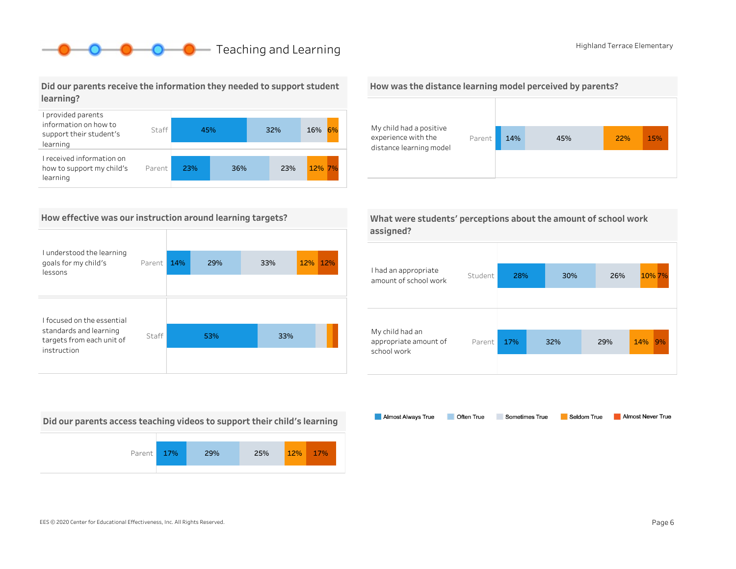## **O** Teaching and Learning **Highland Terrace Elementary**

Did our parents receive the information they needed to support student learning?



#### How effective was our instruction around learning targets?

| I understood the learning                           |        |     |     |     |         |
|-----------------------------------------------------|--------|-----|-----|-----|---------|
| goals for my child's<br>lessons                     | Parent | 14% | 29% | 33% | 12% 12% |
| I focused on the essential                          |        |     |     |     |         |
| standards and learning<br>targets from each unit of | Staff  |     | 53% | 33% |         |
| instruction                                         |        |     |     |     |         |

Did our parents access teaching videos to support their child's learning







|           | What were students' perceptions about the amount of school work |
|-----------|-----------------------------------------------------------------|
| assigned? |                                                                 |

| I had an appropriate<br>amount of school work           | Student | 28%        |  | 30% | 26% |     | 10% 7% |
|---------------------------------------------------------|---------|------------|--|-----|-----|-----|--------|
| My child had an<br>appropriate amount of<br>school work | Parent  | 17%<br>32% |  |     | 29% | 14% | 9%     |

Almost Always True Sometimes True Almost Never True Often True Seldom True

EES©2020CenterforEducationalEffectiveness,Inc.AllRightsReserved. Page6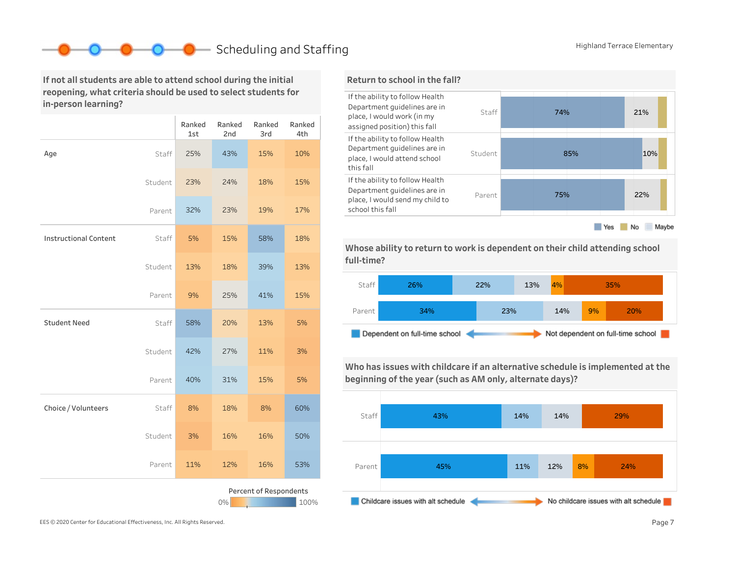### Scheduling and Staffing Highland Terrace Elementary

If not all students are able to attend school during the initial reopening, what criteria should be used to select students for in-person learning?

|                                      |         | Ranked<br>1st | Ranked<br>2nd | Ranked<br>3rd | Ranked<br>4th |  |
|--------------------------------------|---------|---------------|---------------|---------------|---------------|--|
| Age                                  | Staff   | 25%           | 43%           | 15%           | 10%           |  |
|                                      | Student | 23%           | 24%           | 18%           | 15%           |  |
|                                      | Parent  | 32%           | 23%           | 19%           | 17%           |  |
| <b>Instructional Content</b>         | Staff   | 5%            | 15%           | 58%           | 18%           |  |
|                                      | Student | 13%           | 18%           | 39%           | 13%           |  |
|                                      | Parent  | 9%            | 25%           | 41%           | 15%           |  |
| <b>Student Need</b>                  | Staff   | 58%           | 20%           | 13%           | 5%            |  |
|                                      | Student | 42%           | 27%           | 11%           | 3%            |  |
|                                      | Parent  | 40%           | 31%           | 15%           | 5%            |  |
| Choice / Volunteers                  | Staff   | 8%            | 18%           | 8%            | 60%           |  |
|                                      | Student | 3%            | 16%           | 16%           | 50%           |  |
|                                      | Parent  | 11%           | 12%           | 16%           | 53%           |  |
| Percent of Respondents<br>0%<br>100% |         |               |               |               |               |  |

#### Return to school in the fall?



Whose ability to return to work is dependent on their child attending school full-time?



Who has issues with childcare if an alternative schedule is implemented at the beginning of the year (such as AM only, alternate days)?

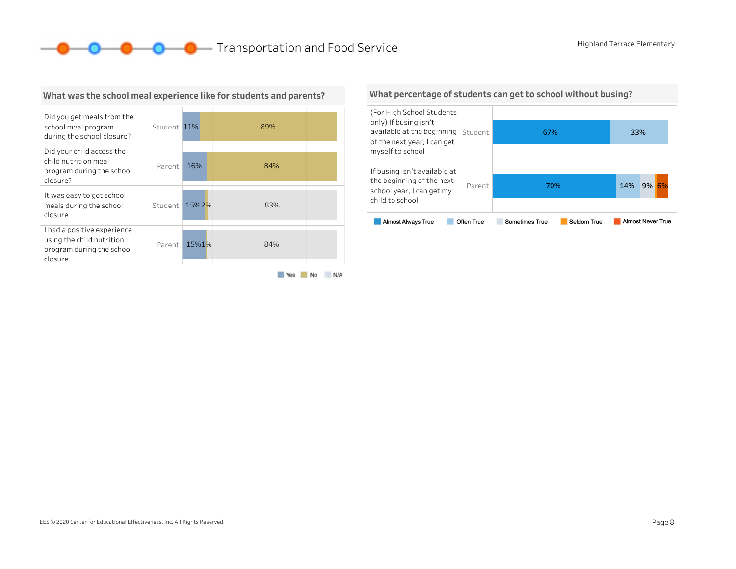**O** C **C** Transportation and Food Service Highland Terrace Elementary



#### What was the school meal experience like for students and parents?

Yes No N/A

#### What percentage of students can get to school without busing?

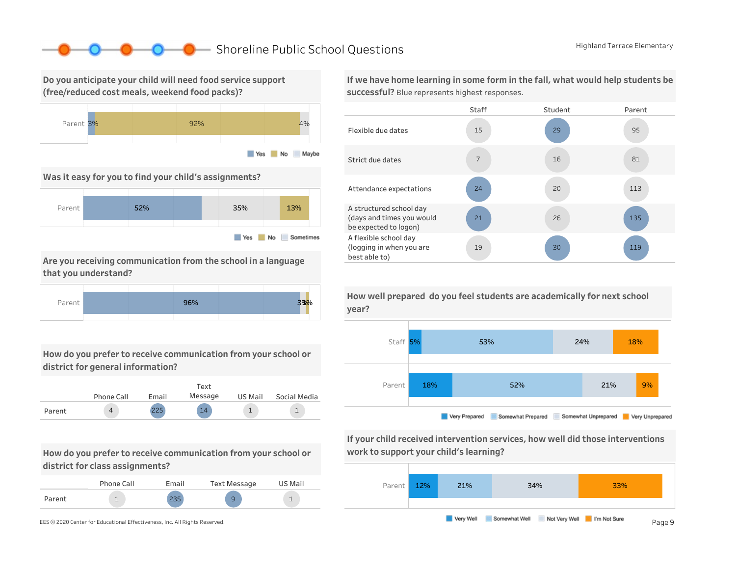### ■ Shoreline Public School Questions Highland Terrace Elementary

Do you anticipate your child will need food service support (free/reduced cost meals, weekend food packs)?



Was it easy for you to find your child's assignments?



Are you receiving communication from the school in a language that you understand?



How do you prefer to receive communication from your school or district for general information?

|        |            |       | Text    |         |              |
|--------|------------|-------|---------|---------|--------------|
|        | Phone Call | Email | Message | US Mail | Social Media |
| Parent | 4          | 225   | 14      |         |              |

How do you prefer to receive communication from your school or district for class assignments?

|        | Phone Call | Email      | Text Message | US Mail |
|--------|------------|------------|--------------|---------|
| Parent |            | つつロ<br>ددے |              |         |

If we have home learning in some form in the fall, what would help students be successful? Blue represents highest responses.





If your child received intervention services, how well did those interventions work to support your child's learning?



year?

How well prepared do you feel students are academically for next school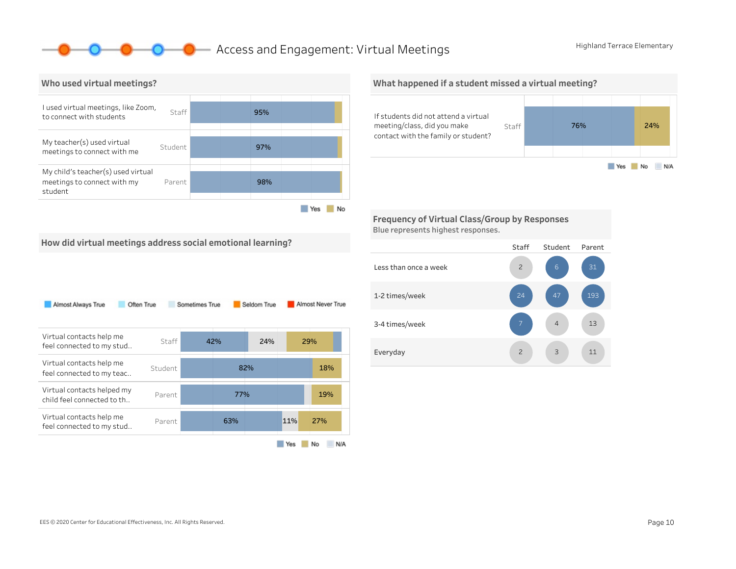### **O** Access and Engagement: Virtual Meetings Highland Terrace Elementary



What happened if a student missed a virtual meeting? If students did not attend a virtual meeting/class, did you make Staff 76% 24% contact with the family or student? Yes No N/A

Frequency of Virtual Class/Group by Responses Blue represents highest responses.

How did virtual meetings address social emotional learning?

| Almost Always True                                       | Often True | Sometimes True |     | Seldom True |     | Almost Never True |
|----------------------------------------------------------|------------|----------------|-----|-------------|-----|-------------------|
| Virtual contacts help me<br>feel connected to my stud    | Staff      |                | 42% | 24%         |     | 29%               |
| Virtual contacts help me<br>feel connected to my teac    | Student    |                |     | 82%         |     | 18%               |
| Virtual contacts helped my<br>child feel connected to th | Parent     |                | 77% |             |     | 19%               |
| Virtual contacts help me<br>feel connected to my stud    | Parent     |                | 63% |             | 11% | 27%               |
|                                                          |            |                |     |             | Yes | No<br>N/A         |

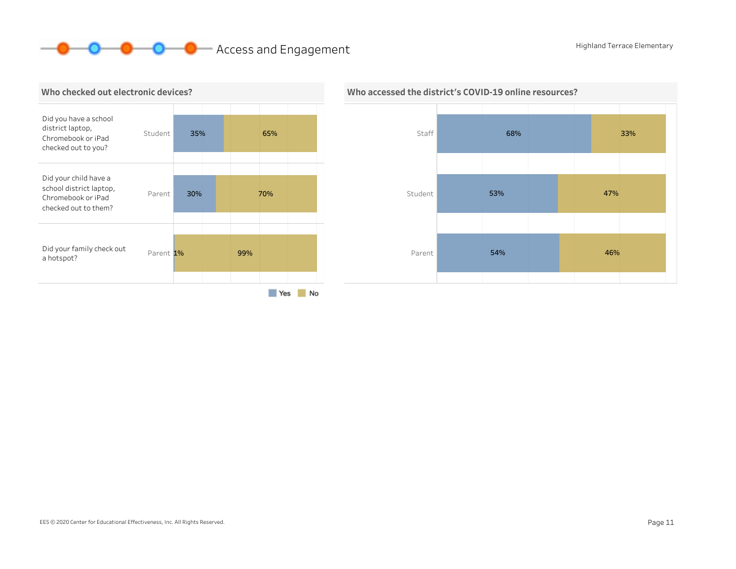# **O O** Access and Engagement Highland Terrace Elementary





# Who accessed the district's COVID-19 online resources?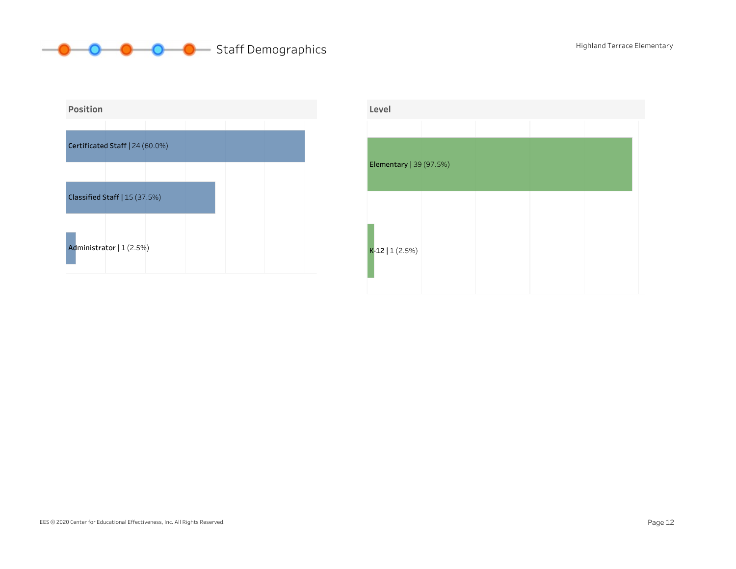



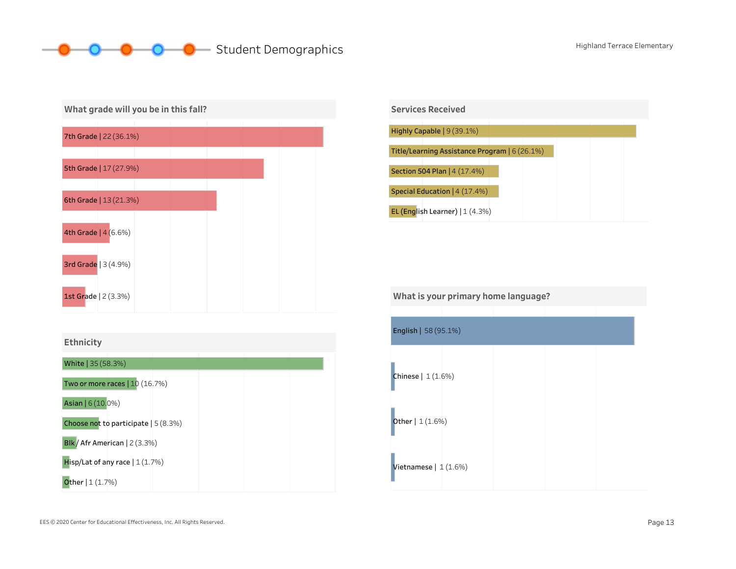# **Student Demographics** Manual Communics Highland Terrace Elementary







Vietnamese  $|1(1.6%)$ English|58(95.1%) Chinese|1(1.6%) **Other** | 1 (1.6%) What is your primary home language?